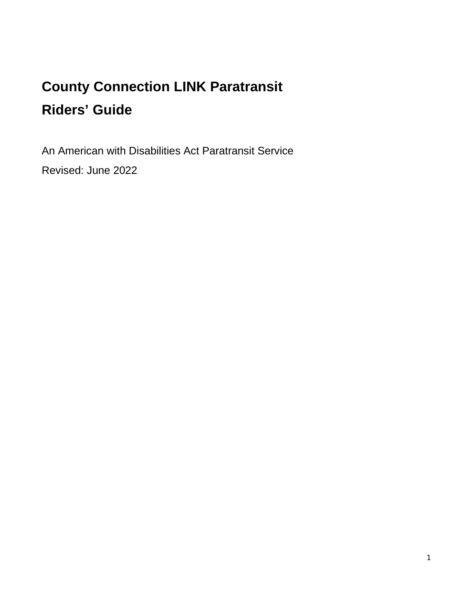# **County Connection LINK Paratransit Riders' Guide**

An American with Disabilities Act Paratransit Service Revised: June 2022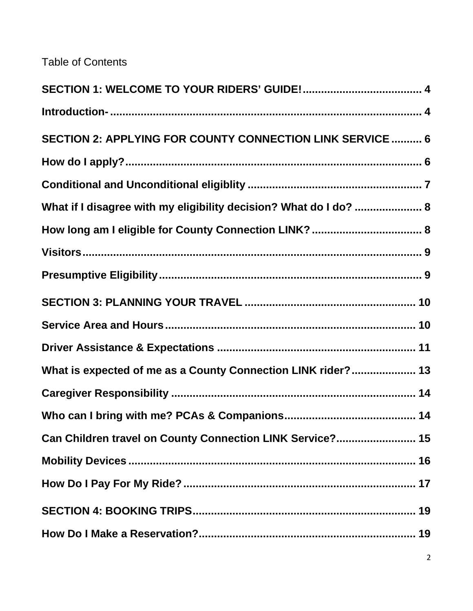Table of Contents

| SECTION 2: APPLYING FOR COUNTY CONNECTION LINK SERVICE  6         |
|-------------------------------------------------------------------|
|                                                                   |
|                                                                   |
| What if I disagree with my eligibility decision? What do I do?  8 |
|                                                                   |
|                                                                   |
|                                                                   |
|                                                                   |
|                                                                   |
|                                                                   |
| What is expected of me as a County Connection LINK rider? 13      |
|                                                                   |
|                                                                   |
| Can Children travel on County Connection LINK Service? 15         |
|                                                                   |
|                                                                   |
|                                                                   |
|                                                                   |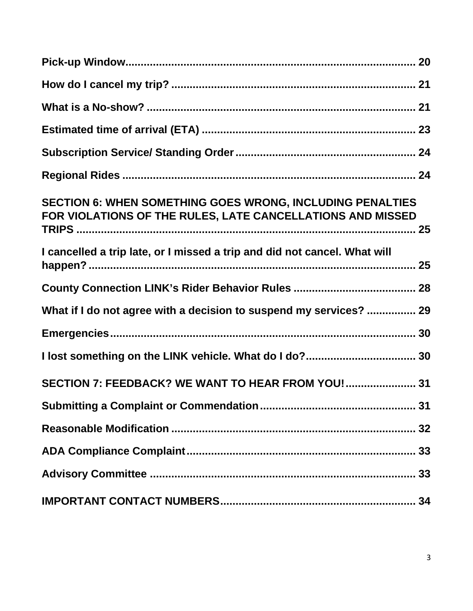| <b>SECTION 6: WHEN SOMETHING GOES WRONG, INCLUDING PENALTIES</b><br>FOR VIOLATIONS OF THE RULES, LATE CANCELLATIONS AND MISSED |  |
|--------------------------------------------------------------------------------------------------------------------------------|--|
| I cancelled a trip late, or I missed a trip and did not cancel. What will                                                      |  |
|                                                                                                                                |  |
| What if I do not agree with a decision to suspend my services?  29                                                             |  |
|                                                                                                                                |  |
|                                                                                                                                |  |
| SECTION 7: FEEDBACK? WE WANT TO HEAR FROM YOU! 31                                                                              |  |
|                                                                                                                                |  |
|                                                                                                                                |  |
|                                                                                                                                |  |
|                                                                                                                                |  |
|                                                                                                                                |  |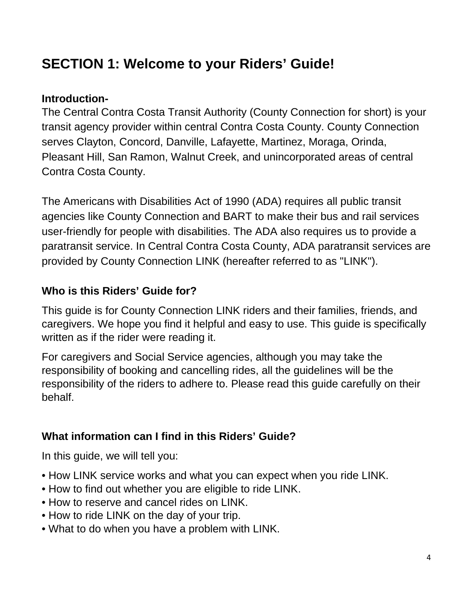# <span id="page-3-0"></span>**SECTION 1: Welcome to your Riders' Guide!**

### <span id="page-3-1"></span>**Introduction-**

The Central Contra Costa Transit Authority (County Connection for short) is your transit agency provider within central Contra Costa County. County Connection serves Clayton, Concord, Danville, Lafayette, Martinez, Moraga, Orinda, Pleasant Hill, San Ramon, Walnut Creek, and unincorporated areas of central Contra Costa County.

The Americans with Disabilities Act of 1990 (ADA) requires all public transit agencies like County Connection and BART to make their bus and rail services user-friendly for people with disabilities. The ADA also requires us to provide a paratransit service. In Central Contra Costa County, ADA paratransit services are provided by County Connection LINK (hereafter referred to as "LINK").

### **Who is this Riders' Guide for?**

This guide is for County Connection LINK riders and their families, friends, and caregivers. We hope you find it helpful and easy to use. This guide is specifically written as if the rider were reading it.

For caregivers and Social Service agencies, although you may take the responsibility of booking and cancelling rides, all the guidelines will be the responsibility of the riders to adhere to. Please read this guide carefully on their behalf.

## **What information can I find in this Riders' Guide?**

In this guide, we will tell you:

- How LINK service works and what you can expect when you ride LINK.
- How to find out whether you are eligible to ride LINK.
- How to reserve and cancel rides on LINK.
- How to ride LINK on the day of your trip.
- What to do when you have a problem with LINK.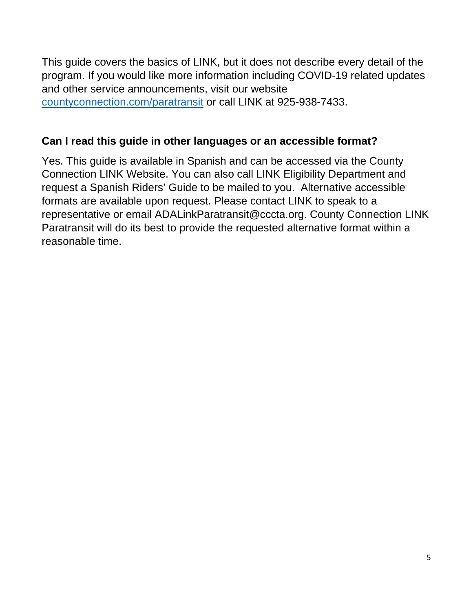This guide covers the basics of LINK, but it does not describe every detail of the program. If you would like more information including COVID-19 related updates and other service announcements, visit our website [countyconnection.com/paratransit](https://countyconnection.com/paratransit/) or call LINK at 925-938-7433.

#### **Can I read this guide in other languages or an accessible format?**

Yes. This guide is available in Spanish and can be accessed via the County Connection LINK Website. You can also call LINK Eligibility Department and request a Spanish Riders' Guide to be mailed to you. Alternative accessible formats are available upon request. Please contact LINK to speak to a representative or email ADALinkParatransit@cccta.org. County Connection LINK Paratransit will do its best to provide the requested alternative format within a reasonable time.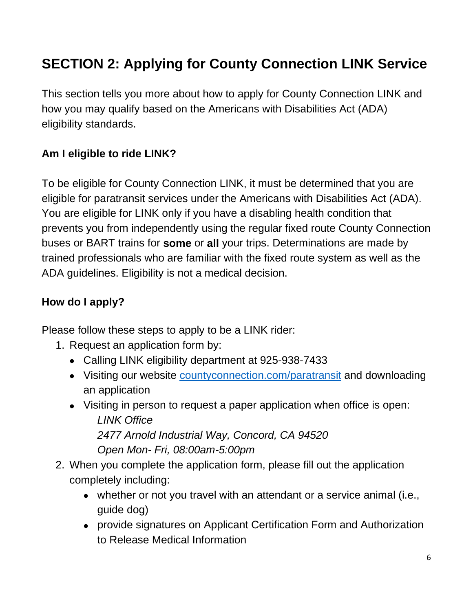# <span id="page-5-0"></span>**SECTION 2: Applying for County Connection LINK Service**

This section tells you more about how to apply for County Connection LINK and how you may qualify based on the Americans with Disabilities Act (ADA) eligibility standards.

# **Am I eligible to ride LINK?**

To be eligible for County Connection LINK, it must be determined that you are eligible for paratransit services under the Americans with Disabilities Act (ADA). You are eligible for LINK only if you have a disabling health condition that prevents you from independently using the regular fixed route County Connection buses or BART trains for **some** or **all** your trips. Determinations are made by trained professionals who are familiar with the fixed route system as well as the ADA guidelines. Eligibility is not a medical decision.

## <span id="page-5-1"></span>**How do I apply?**

Please follow these steps to apply to be a LINK rider:

- 1. Request an application form by:
	- Calling LINK eligibility department at 925-938-7433
	- Visiting our website [countyconnection.com/paratransit](https://countyconnection.com/paratransit/) and downloading an application
	- Visiting in person to request a paper application when office is open: *LINK Office 2477 Arnold Industrial Way, Concord, CA 94520 Open Mon- Fri, 08:00am-5:00pm*
- 2. When you complete the application form, please fill out the application completely including:
	- whether or not you travel with an attendant or a service animal (i.e., guide dog)
	- provide signatures on Applicant Certification Form and Authorization to Release Medical Information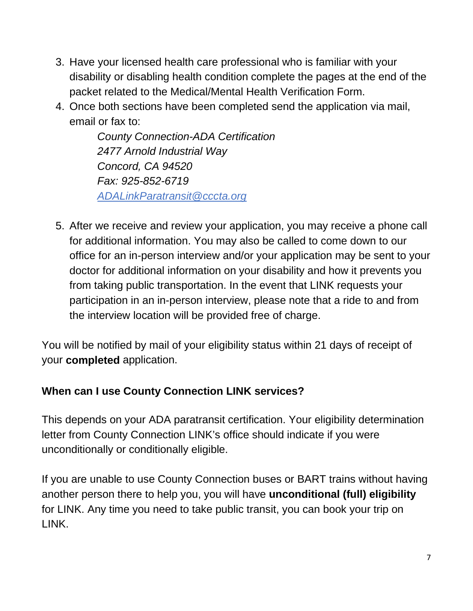- 3. Have your licensed health care professional who is familiar with your disability or disabling health condition complete the pages at the end of the packet related to the Medical/Mental Health Verification Form.
- 4. Once both sections have been completed send the application via mail, email or fax to:

*County Connection-ADA Certification 2477 Arnold Industrial Way Concord, CA 94520 Fax: 925-852-6719 [ADALinkParatransit@cccta.org](mailto:ADALinkParatransit@cccta.org)*

5. After we receive and review your application, you may receive a phone call for additional information. You may also be called to come down to our office for an in-person interview and/or your application may be sent to your doctor for additional information on your disability and how it prevents you from taking public transportation. In the event that LINK requests your participation in an in-person interview, please note that a ride to and from the interview location will be provided free of charge.

You will be notified by mail of your eligibility status within 21 days of receipt of your **completed** application.

# <span id="page-6-0"></span>**When can I use County Connection LINK services?**

This depends on your ADA paratransit certification. Your eligibility determination letter from County Connection LINK's office should indicate if you were unconditionally or conditionally eligible.

If you are unable to use County Connection buses or BART trains without having another person there to help you, you will have **unconditional (full) eligibility** for LINK. Any time you need to take public transit, you can book your trip on LINK.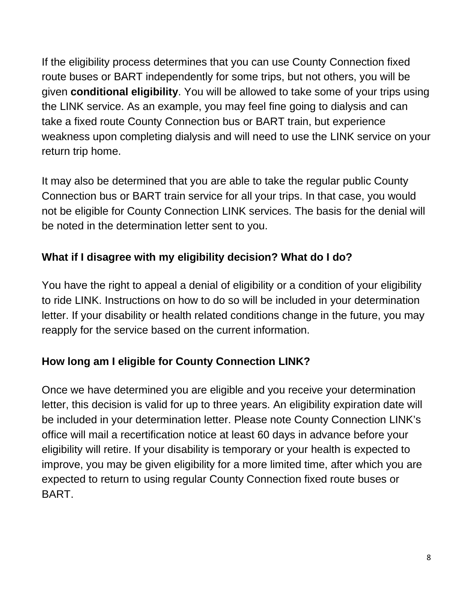If the eligibility process determines that you can use County Connection fixed route buses or BART independently for some trips, but not others, you will be given **conditional eligibility**. You will be allowed to take some of your trips using the LINK service. As an example, you may feel fine going to dialysis and can take a fixed route County Connection bus or BART train, but experience weakness upon completing dialysis and will need to use the LINK service on your return trip home.

It may also be determined that you are able to take the regular public County Connection bus or BART train service for all your trips. In that case, you would not be eligible for County Connection LINK services. The basis for the denial will be noted in the determination letter sent to you.

# <span id="page-7-0"></span>**What if I disagree with my eligibility decision? What do I do?**

You have the right to appeal a denial of eligibility or a condition of your eligibility to ride LINK. Instructions on how to do so will be included in your determination letter. If your disability or health related conditions change in the future, you may reapply for the service based on the current information.

# <span id="page-7-1"></span>**How long am I eligible for County Connection LINK?**

Once we have determined you are eligible and you receive your determination letter, this decision is valid for up to three years. An eligibility expiration date will be included in your determination letter. Please note County Connection LINK's office will mail a recertification notice at least 60 days in advance before your eligibility will retire. If your disability is temporary or your health is expected to improve, you may be given eligibility for a more limited time, after which you are expected to return to using regular County Connection fixed route buses or BART.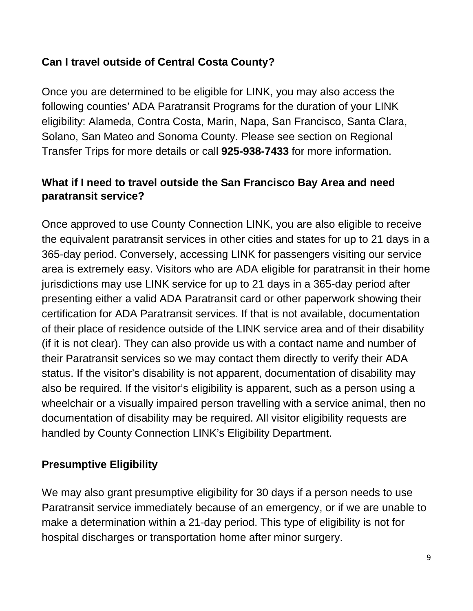## **Can I travel outside of Central Costa County?**

Once you are determined to be eligible for LINK, you may also access the following counties' ADA Paratransit Programs for the duration of your LINK eligibility: Alameda, Contra Costa, Marin, Napa, San Francisco, Santa Clara, Solano, San Mateo and Sonoma County. Please see section on Regional Transfer Trips for more details or call **925-938-7433** for more information.

## <span id="page-8-0"></span>**What if I need to travel outside the San Francisco Bay Area and need paratransit service?**

Once approved to use County Connection LINK, you are also eligible to receive the equivalent paratransit services in other cities and states for up to 21 days in a 365-day period. Conversely, accessing LINK for passengers visiting our service area is extremely easy. Visitors who are ADA eligible for paratransit in their home jurisdictions may use LINK service for up to 21 days in a 365-day period after presenting either a valid ADA Paratransit card or other paperwork showing their certification for ADA Paratransit services. If that is not available, documentation of their place of residence outside of the LINK service area and of their disability (if it is not clear). They can also provide us with a contact name and number of their Paratransit services so we may contact them directly to verify their ADA status. If the visitor's disability is not apparent, documentation of disability may also be required. If the visitor's eligibility is apparent, such as a person using a wheelchair or a visually impaired person travelling with a service animal, then no documentation of disability may be required. All visitor eligibility requests are handled by County Connection LINK's Eligibility Department.

## <span id="page-8-1"></span>**Presumptive Eligibility**

We may also grant presumptive eligibility for 30 days if a person needs to use Paratransit service immediately because of an emergency, or if we are unable to make a determination within a 21-day period. This type of eligibility is not for hospital discharges or transportation home after minor surgery.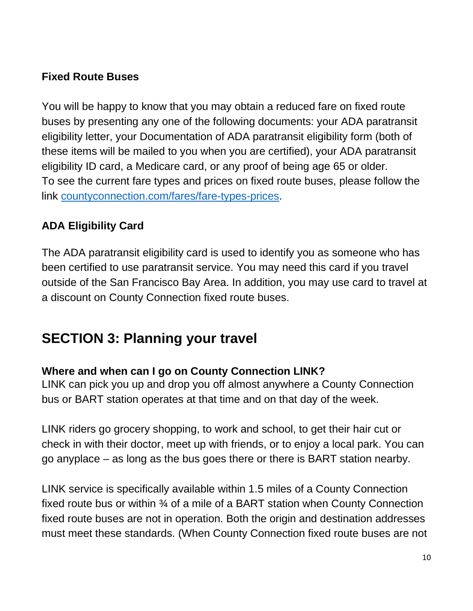## **Fixed Route Buses**

You will be happy to know that you may obtain a reduced fare on fixed route buses by presenting any one of the following documents: your ADA paratransit eligibility letter, your Documentation of ADA paratransit eligibility form (both of these items will be mailed to you when you are certified), your ADA paratransit eligibility ID card, a Medicare card, or any proof of being age 65 or older. To see the current fare types and prices on fixed route buses, please follow the link [countyconnection.com/fares/fare-types-prices.](https://countyconnection.com/fares/fare-types-prices/)

## **ADA Eligibility Card**

The ADA paratransit eligibility card is used to identify you as someone who has been certified to use paratransit service. You may need this card if you travel outside of the San Francisco Bay Area. In addition, you may use card to travel at a discount on County Connection fixed route buses.

# <span id="page-9-0"></span>**SECTION 3: Planning your travel**

#### <span id="page-9-1"></span>**Where and when can I go on County Connection LINK?**

LINK can pick you up and drop you off almost anywhere a County Connection bus or BART station operates at that time and on that day of the week.

LINK riders go grocery shopping, to work and school, to get their hair cut or check in with their doctor, meet up with friends, or to enjoy a local park. You can go anyplace – as long as the bus goes there or there is BART station nearby.

LINK service is specifically available within 1.5 miles of a County Connection fixed route bus or within ¾ of a mile of a BART station when County Connection fixed route buses are not in operation. Both the origin and destination addresses must meet these standards. (When County Connection fixed route buses are not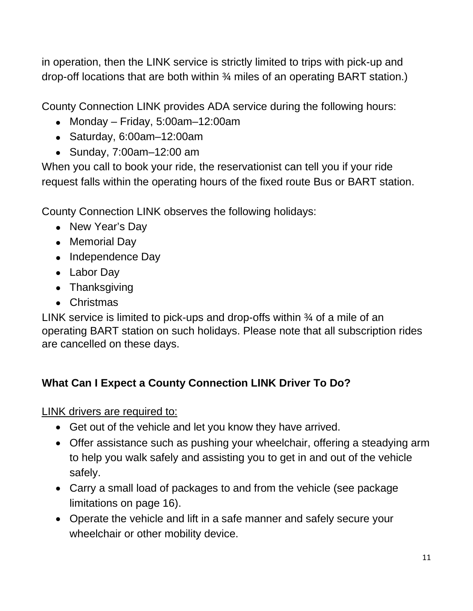in operation, then the LINK service is strictly limited to trips with pick-up and drop-off locations that are both within ¾ miles of an operating BART station.)

County Connection LINK provides ADA service during the following hours:

- Monday Friday, 5:00am–12:00am
- Saturday, 6:00am–12:00am
- Sunday, 7:00am–12:00 am

When you call to book your ride, the reservationist can tell you if your ride request falls within the operating hours of the fixed route Bus or BART station.

County Connection LINK observes the following holidays:

- New Year's Day
- Memorial Day
- Independence Day
- Labor Day
- Thanksgiving
- Christmas

LINK service is limited to pick-ups and drop-offs within 34 of a mile of an operating BART station on such holidays. Please note that all subscription rides are cancelled on these days.

# <span id="page-10-0"></span>**What Can I Expect a County Connection LINK Driver To Do?**

LINK drivers are required to:

- Get out of the vehicle and let you know they have arrived.
- Offer assistance such as pushing your wheelchair, offering a steadying arm to help you walk safely and assisting you to get in and out of the vehicle safely.
- Carry a small load of packages to and from the vehicle (see package limitations on page 16).
- Operate the vehicle and lift in a safe manner and safely secure your wheelchair or other mobility device.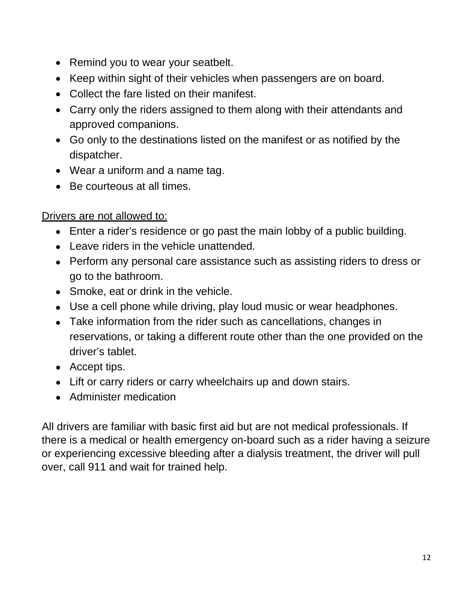- Remind you to wear your seatbelt.
- Keep within sight of their vehicles when passengers are on board.
- Collect the fare listed on their manifest.
- Carry only the riders assigned to them along with their attendants and approved companions.
- Go only to the destinations listed on the manifest or as notified by the dispatcher.
- Wear a uniform and a name tag.
- Be courteous at all times.

### Drivers are not allowed to:

- Enter a rider's residence or go past the main lobby of a public building.
- Leave riders in the vehicle unattended.
- Perform any personal care assistance such as assisting riders to dress or go to the bathroom.
- Smoke, eat or drink in the vehicle.
- Use a cell phone while driving, play loud music or wear headphones.
- Take information from the rider such as cancellations, changes in reservations, or taking a different route other than the one provided on the driver's tablet.
- Accept tips.
- Lift or carry riders or carry wheelchairs up and down stairs.
- Administer medication

All drivers are familiar with basic first aid but are not medical professionals. If there is a medical or health emergency on-board such as a rider having a seizure or experiencing excessive bleeding after a dialysis treatment, the driver will pull over, call 911 and wait for trained help.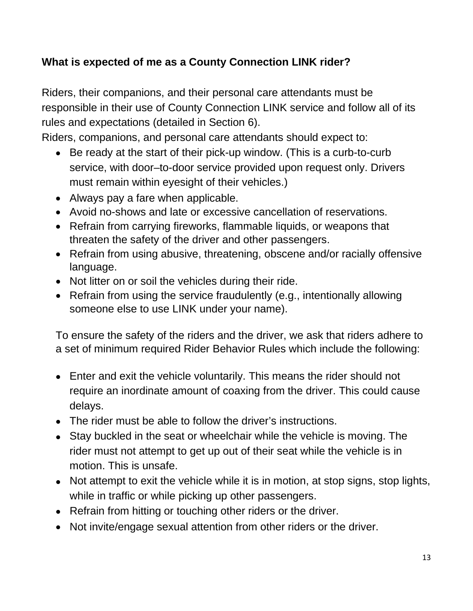# <span id="page-12-0"></span>**What is expected of me as a County Connection LINK rider?**

Riders, their companions, and their personal care attendants must be responsible in their use of County Connection LINK service and follow all of its rules and expectations (detailed in Section 6).

Riders, companions, and personal care attendants should expect to:

- Be ready at the start of their pick-up window. (This is a curb-to-curb service, with door–to-door service provided upon request only. Drivers must remain within eyesight of their vehicles.)
- Always pay a fare when applicable.
- Avoid no-shows and late or excessive cancellation of reservations.
- Refrain from carrying fireworks, flammable liquids, or weapons that threaten the safety of the driver and other passengers.
- Refrain from using abusive, threatening, obscene and/or racially offensive language.
- Not litter on or soil the vehicles during their ride.
- Refrain from using the service fraudulently (e.g., intentionally allowing someone else to use LINK under your name).

To ensure the safety of the riders and the driver, we ask that riders adhere to a set of minimum required Rider Behavior Rules which include the following:

- Enter and exit the vehicle voluntarily. This means the rider should not require an inordinate amount of coaxing from the driver. This could cause delays.
- The rider must be able to follow the driver's instructions.
- Stay buckled in the seat or wheelchair while the vehicle is moving. The rider must not attempt to get up out of their seat while the vehicle is in motion. This is unsafe.
- Not attempt to exit the vehicle while it is in motion, at stop signs, stop lights, while in traffic or while picking up other passengers.
- Refrain from hitting or touching other riders or the driver.
- Not invite/engage sexual attention from other riders or the driver.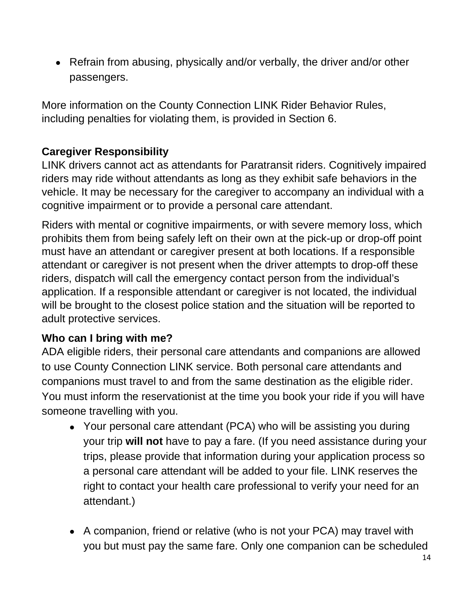• Refrain from abusing, physically and/or verbally, the driver and/or other passengers.

More information on the County Connection LINK Rider Behavior Rules, including penalties for violating them, is provided in Section 6.

## <span id="page-13-0"></span>**Caregiver Responsibility**

LINK drivers cannot act as attendants for Paratransit riders. Cognitively impaired riders may ride without attendants as long as they exhibit safe behaviors in the vehicle. It may be necessary for the caregiver to accompany an individual with a cognitive impairment or to provide a personal care attendant.

Riders with mental or cognitive impairments, or with severe memory loss, which prohibits them from being safely left on their own at the pick-up or drop-off point must have an attendant or caregiver present at both locations. If a responsible attendant or caregiver is not present when the driver attempts to drop-off these riders, dispatch will call the emergency contact person from the individual's application. If a responsible attendant or caregiver is not located, the individual will be brought to the closest police station and the situation will be reported to adult protective services.

#### <span id="page-13-1"></span>**Who can I bring with me?**

ADA eligible riders, their personal care attendants and companions are allowed to use County Connection LINK service. Both personal care attendants and companions must travel to and from the same destination as the eligible rider. You must inform the reservationist at the time you book your ride if you will have someone travelling with you.

- Your personal care attendant (PCA) who will be assisting you during your trip **will not** have to pay a fare. (If you need assistance during your trips, please provide that information during your application process so a personal care attendant will be added to your file. LINK reserves the right to contact your health care professional to verify your need for an attendant.)
- A companion, friend or relative (who is not your PCA) may travel with you but must pay the same fare. Only one companion can be scheduled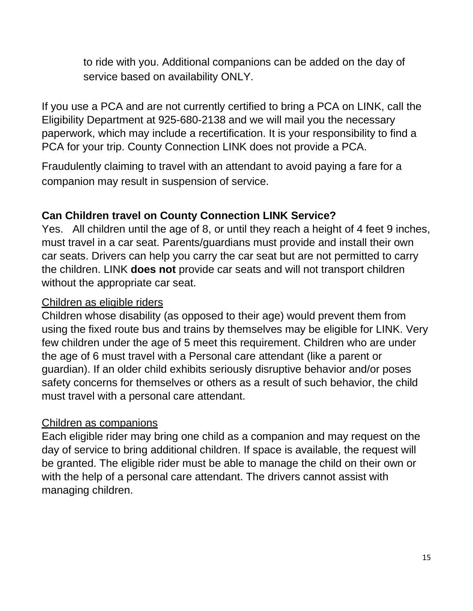to ride with you. Additional companions can be added on the day of service based on availability ONLY.

If you use a PCA and are not currently certified to bring a PCA on LINK, call the Eligibility Department at 925-680-2138 and we will mail you the necessary paperwork, which may include a recertification. It is your responsibility to find a PCA for your trip. County Connection LINK does not provide a PCA.

Fraudulently claiming to travel with an attendant to avoid paying a fare for a companion may result in suspension of service.

## <span id="page-14-0"></span>**Can Children travel on County Connection LINK Service?**

Yes. All children until the age of 8, or until they reach a height of 4 feet 9 inches, must travel in a car seat. Parents/guardians must provide and install their own car seats. Drivers can help you carry the car seat but are not permitted to carry the children. LINK **does not** provide car seats and will not transport children without the appropriate car seat.

#### Children as eligible riders

Children whose disability (as opposed to their age) would prevent them from using the fixed route bus and trains by themselves may be eligible for LINK. Very few children under the age of 5 meet this requirement. Children who are under the age of 6 must travel with a Personal care attendant (like a parent or guardian). If an older child exhibits seriously disruptive behavior and/or poses safety concerns for themselves or others as a result of such behavior, the child must travel with a personal care attendant.

#### Children as companions

Each eligible rider may bring one child as a companion and may request on the day of service to bring additional children. If space is available, the request will be granted. The eligible rider must be able to manage the child on their own or with the help of a personal care attendant. The drivers cannot assist with managing children.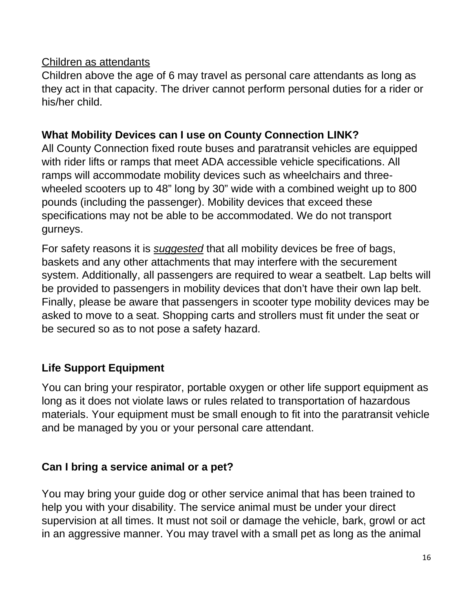#### Children as attendants

Children above the age of 6 may travel as personal care attendants as long as they act in that capacity. The driver cannot perform personal duties for a rider or his/her child.

#### <span id="page-15-0"></span>**What Mobility Devices can I use on County Connection LINK?**

All County Connection fixed route buses and paratransit vehicles are equipped with rider lifts or ramps that meet ADA accessible vehicle specifications. All ramps will accommodate mobility devices such as wheelchairs and threewheeled scooters up to 48" long by 30" wide with a combined weight up to 800 pounds (including the passenger). Mobility devices that exceed these specifications may not be able to be accommodated. We do not transport gurneys.

For safety reasons it is *suggested* that all mobility devices be free of bags, baskets and any other attachments that may interfere with the securement system. Additionally, all passengers are required to wear a seatbelt. Lap belts will be provided to passengers in mobility devices that don't have their own lap belt. Finally, please be aware that passengers in scooter type mobility devices may be asked to move to a seat. Shopping carts and strollers must fit under the seat or be secured so as to not pose a safety hazard.

# **Life Support Equipment**

You can bring your respirator, portable oxygen or other life support equipment as long as it does not violate laws or rules related to transportation of hazardous materials. Your equipment must be small enough to fit into the paratransit vehicle and be managed by you or your personal care attendant.

## **Can I bring a service animal or a pet?**

You may bring your guide dog or other service animal that has been trained to help you with your disability. The service animal must be under your direct supervision at all times. It must not soil or damage the vehicle, bark, growl or act in an aggressive manner. You may travel with a small pet as long as the animal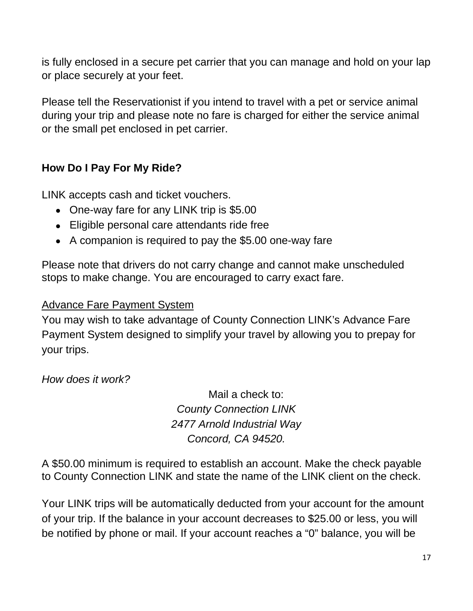is fully enclosed in a secure pet carrier that you can manage and hold on your lap or place securely at your feet.

Please tell the Reservationist if you intend to travel with a pet or service animal during your trip and please note no fare is charged for either the service animal or the small pet enclosed in pet carrier.

## <span id="page-16-0"></span>**How Do I Pay For My Ride?**

LINK accepts cash and ticket vouchers.

- One-way fare for any LINK trip is \$5.00
- Eligible personal care attendants ride free
- A companion is required to pay the \$5.00 one-way fare

Please note that drivers do not carry change and cannot make unscheduled stops to make change. You are encouraged to carry exact fare.

#### Advance Fare Payment System

You may wish to take advantage of County Connection LINK's Advance Fare Payment System designed to simplify your travel by allowing you to prepay for your trips.

*How does it work?*

Mail a check to: *County Connection LINK 2477 Arnold Industrial Way Concord, CA 94520.*

A \$50.00 minimum is required to establish an account. Make the check payable to County Connection LINK and state the name of the LINK client on the check.

Your LINK trips will be automatically deducted from your account for the amount of your trip. If the balance in your account decreases to \$25.00 or less, you will be notified by phone or mail. If your account reaches a "0" balance, you will be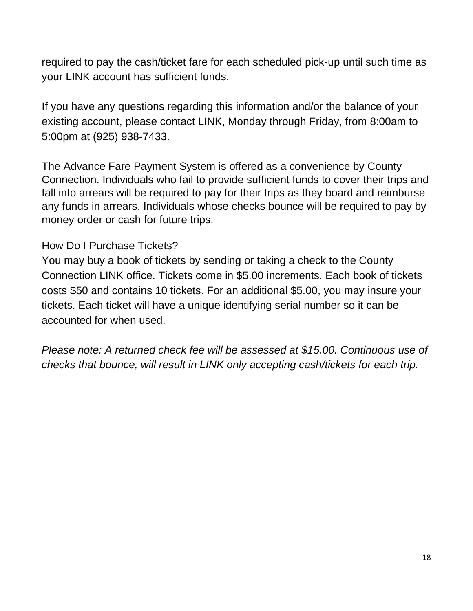required to pay the cash/ticket fare for each scheduled pick-up until such time as your LINK account has sufficient funds.

If you have any questions regarding this information and/or the balance of your existing account, please contact LINK, Monday through Friday, from 8:00am to 5:00pm at (925) 938-7433.

The Advance Fare Payment System is offered as a convenience by County Connection. Individuals who fail to provide sufficient funds to cover their trips and fall into arrears will be required to pay for their trips as they board and reimburse any funds in arrears. Individuals whose checks bounce will be required to pay by money order or cash for future trips.

### How Do I Purchase Tickets?

You may buy a book of tickets by sending or taking a check to the County Connection LINK office. Tickets come in \$5.00 increments. Each book of tickets costs \$50 and contains 10 tickets. For an additional \$5.00, you may insure your tickets. Each ticket will have a unique identifying serial number so it can be accounted for when used.

*Please note: A returned check fee will be assessed at \$15.00. Continuous use of checks that bounce, will result in LINK only accepting cash/tickets for each trip.*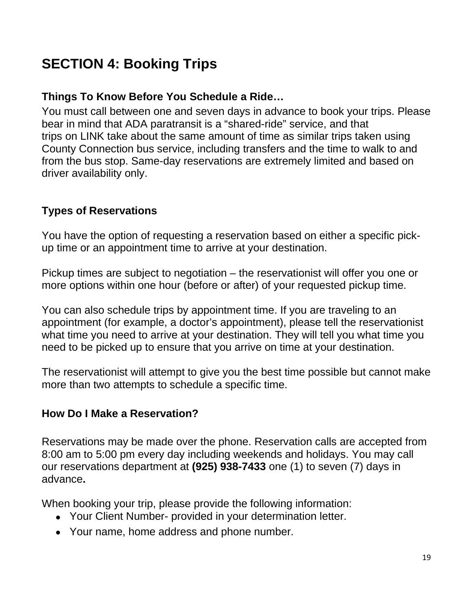# <span id="page-18-0"></span>**SECTION 4: Booking Trips**

### **Things To Know Before You Schedule a Ride…**

You must call between one and seven days in advance to book your trips. Please bear in mind that ADA paratransit is a "shared-ride" service, and that trips on LINK take about the same amount of time as similar trips taken using County Connection bus service, including transfers and the time to walk to and from the bus stop. Same-day reservations are extremely limited and based on driver availability only.

#### **Types of Reservations**

You have the option of requesting a reservation based on either a specific pickup time or an appointment time to arrive at your destination.

Pickup times are subject to negotiation – the reservationist will offer you one or more options within one hour (before or after) of your requested pickup time.

You can also schedule trips by appointment time. If you are traveling to an appointment (for example, a doctor's appointment), please tell the reservationist what time you need to arrive at your destination. They will tell you what time you need to be picked up to ensure that you arrive on time at your destination.

The reservationist will attempt to give you the best time possible but cannot make more than two attempts to schedule a specific time.

#### <span id="page-18-1"></span>**How Do I Make a Reservation?**

Reservations may be made over the phone. Reservation calls are accepted from 8:00 am to 5:00 pm every day including weekends and holidays. You may call our reservations department at **(925) 938-7433** one (1) to seven (7) days in advance**.**

When booking your trip, please provide the following information:

- Your Client Number- provided in your determination letter.
- Your name, home address and phone number.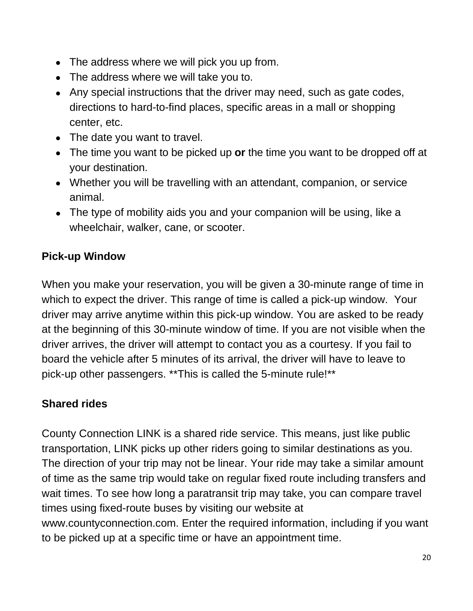- The address where we will pick you up from.
- The address where we will take you to.
- Any special instructions that the driver may need, such as gate codes, directions to hard-to-find places, specific areas in a mall or shopping center, etc.
- The date you want to travel.
- The time you want to be picked up **or** the time you want to be dropped off at your destination.
- Whether you will be travelling with an attendant, companion, or service animal.
- The type of mobility aids you and your companion will be using, like a wheelchair, walker, cane, or scooter.

# <span id="page-19-0"></span>**Pick-up Window**

When you make your reservation, you will be given a 30-minute range of time in which to expect the driver. This range of time is called a pick-up window. Your driver may arrive anytime within this pick-up window. You are asked to be ready at the beginning of this 30-minute window of time. If you are not visible when the driver arrives, the driver will attempt to contact you as a courtesy. If you fail to board the vehicle after 5 minutes of its arrival, the driver will have to leave to pick-up other passengers. \*\*This is called the 5-minute rule!\*\*

# **Shared rides**

County Connection LINK is a shared ride service. This means, just like public transportation, LINK picks up other riders going to similar destinations as you. The direction of your trip may not be linear. Your ride may take a similar amount of time as the same trip would take on regular fixed route including transfers and wait times. To see how long a paratransit trip may take, you can compare travel times using fixed-route buses by visiting our website at www.countyconnection.com. Enter the required information, including if you want to be picked up at a specific time or have an appointment time.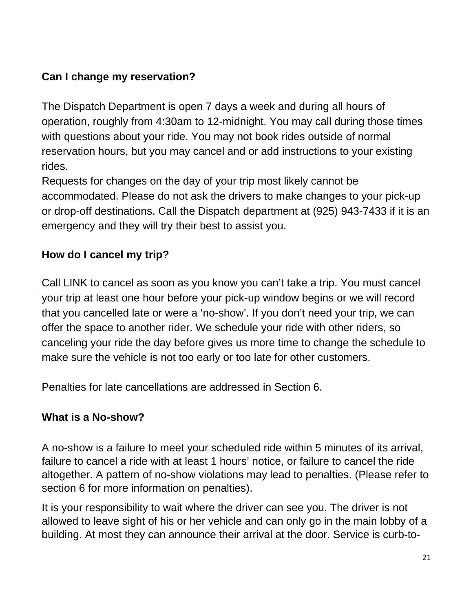## **Can I change my reservation?**

The Dispatch Department is open 7 days a week and during all hours of operation, roughly from 4:30am to 12-midnight. You may call during those times with questions about your ride. You may not book rides outside of normal reservation hours, but you may cancel and or add instructions to your existing rides.

Requests for changes on the day of your trip most likely cannot be accommodated. Please do not ask the drivers to make changes to your pick-up or drop-off destinations. Call the Dispatch department at (925) 943-7433 if it is an emergency and they will try their best to assist you.

# <span id="page-20-0"></span>**How do I cancel my trip?**

Call LINK to cancel as soon as you know you can't take a trip. You must cancel your trip at least one hour before your pick-up window begins or we will record that you cancelled late or were a 'no-show'. If you don't need your trip, we can offer the space to another rider. We schedule your ride with other riders, so canceling your ride the day before gives us more time to change the schedule to make sure the vehicle is not too early or too late for other customers.

Penalties for late cancellations are addressed in Section 6.

# <span id="page-20-1"></span>**What is a No-show?**

A no-show is a failure to meet your scheduled ride within 5 minutes of its arrival, failure to cancel a ride with at least 1 hours' notice, or failure to cancel the ride altogether. A pattern of no-show violations may lead to penalties. (Please refer to section 6 for more information on penalties).

It is your responsibility to wait where the driver can see you. The driver is not allowed to leave sight of his or her vehicle and can only go in the main lobby of a building. At most they can announce their arrival at the door. Service is curb-to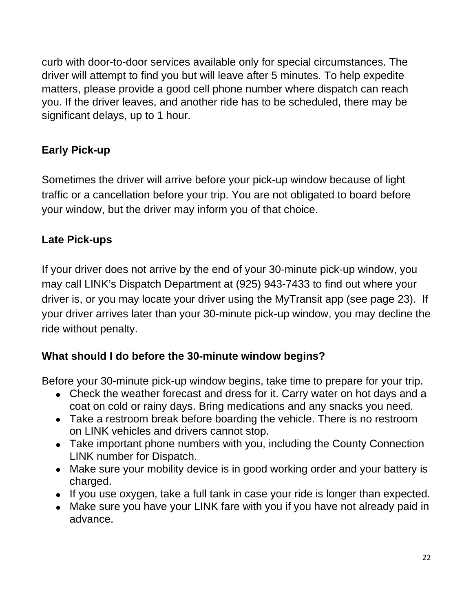curb with door-to-door services available only for special circumstances. The driver will attempt to find you but will leave after 5 minutes. To help expedite matters, please provide a good cell phone number where dispatch can reach you. If the driver leaves, and another ride has to be scheduled, there may be significant delays, up to 1 hour.

# **Early Pick-up**

Sometimes the driver will arrive before your pick-up window because of light traffic or a cancellation before your trip. You are not obligated to board before your window, but the driver may inform you of that choice.

## **Late Pick-ups**

If your driver does not arrive by the end of your 30-minute pick-up window, you may call LINK's Dispatch Department at (925) 943-7433 to find out where your driver is, or you may locate your driver using the MyTransit app (see page 23). If your driver arrives later than your 30-minute pick-up window, you may decline the ride without penalty.

## **What should I do before the 30-minute window begins?**

Before your 30-minute pick-up window begins, take time to prepare for your trip.

- Check the weather forecast and dress for it. Carry water on hot days and a coat on cold or rainy days. Bring medications and any snacks you need.
- Take a restroom break before boarding the vehicle. There is no restroom on LINK vehicles and drivers cannot stop.
- Take important phone numbers with you, including the County Connection LINK number for Dispatch.
- Make sure your mobility device is in good working order and your battery is charged.
- If you use oxygen, take a full tank in case your ride is longer than expected.
- Make sure you have your LINK fare with you if you have not already paid in advance.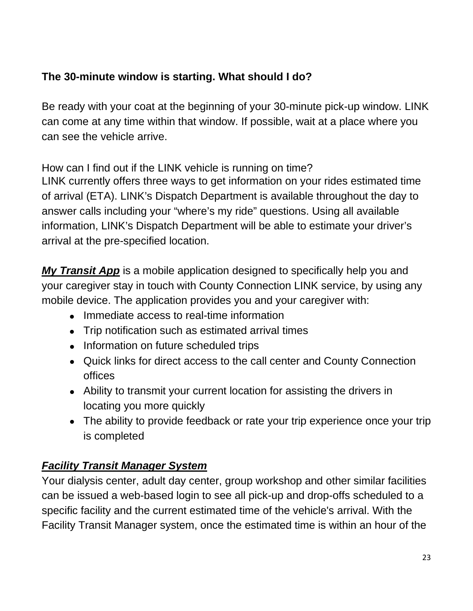## **The 30-minute window is starting. What should I do?**

Be ready with your coat at the beginning of your 30-minute pick-up window. LINK can come at any time within that window. If possible, wait at a place where you can see the vehicle arrive.

<span id="page-22-0"></span>How can I find out if the LINK vehicle is running on time?

LINK currently offers three ways to get information on your rides estimated time of arrival (ETA). LINK's Dispatch Department is available throughout the day to answer calls including your "where's my ride" questions. Using all available information, LINK's Dispatch Department will be able to estimate your driver's arrival at the pre-specified location.

*My Transit App* is a mobile application designed to specifically help you and your caregiver stay in touch with County Connection LINK service, by using any mobile device. The application provides you and your caregiver with:

- Immediate access to real-time information
- Trip notification such as estimated arrival times
- Information on future scheduled trips
- Quick links for direct access to the call center and County Connection offices
- Ability to transmit your current location for assisting the drivers in locating you more quickly
- The ability to provide feedback or rate your trip experience once your trip is completed

# *Facility Transit Manager System*

Your dialysis center, adult day center, group workshop and other similar facilities can be issued a web-based login to see all pick-up and drop-offs scheduled to a specific facility and the current estimated time of the vehicle's arrival. With the Facility Transit Manager system, once the estimated time is within an hour of the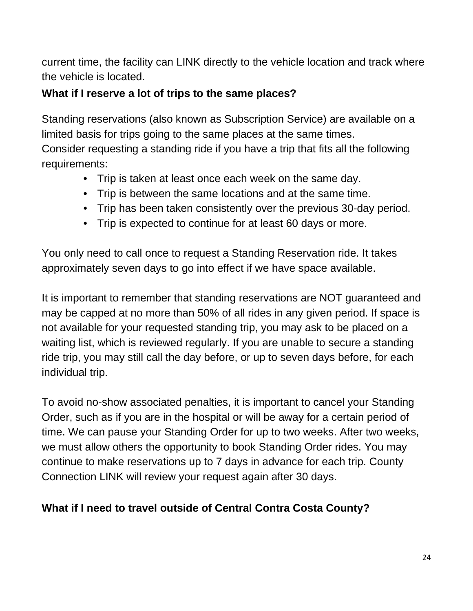current time, the facility can LINK directly to the vehicle location and track where the vehicle is located.

## <span id="page-23-0"></span>**What if I reserve a lot of trips to the same places?**

Standing reservations (also known as Subscription Service) are available on a limited basis for trips going to the same places at the same times.

Consider requesting a standing ride if you have a trip that fits all the following requirements:

- Trip is taken at least once each week on the same day.
- Trip is between the same locations and at the same time.
- Trip has been taken consistently over the previous 30-day period.
- Trip is expected to continue for at least 60 days or more.

You only need to call once to request a Standing Reservation ride. It takes approximately seven days to go into effect if we have space available.

It is important to remember that standing reservations are NOT guaranteed and may be capped at no more than 50% of all rides in any given period. If space is not available for your requested standing trip, you may ask to be placed on a waiting list, which is reviewed regularly. If you are unable to secure a standing ride trip, you may still call the day before, or up to seven days before, for each individual trip.

To avoid no-show associated penalties, it is important to cancel your Standing Order, such as if you are in the hospital or will be away for a certain period of time. We can pause your Standing Order for up to two weeks. After two weeks, we must allow others the opportunity to book Standing Order rides. You may continue to make reservations up to 7 days in advance for each trip. County Connection LINK will review your request again after 30 days.

# <span id="page-23-1"></span>**What if I need to travel outside of Central Contra Costa County?**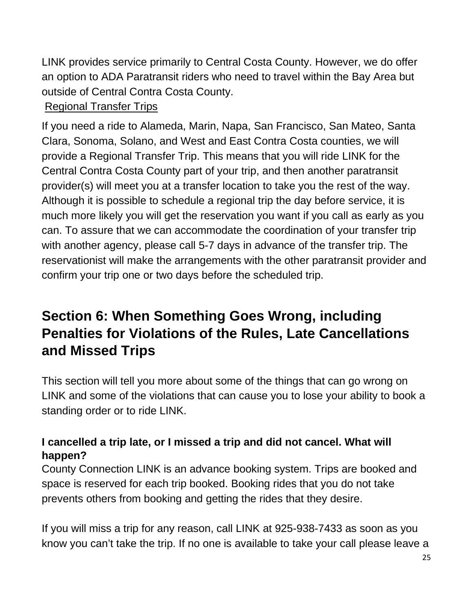LINK provides service primarily to Central Costa County. However, we do offer an option to ADA Paratransit riders who need to travel within the Bay Area but outside of Central Contra Costa County.

## Regional Transfer Trips

If you need a ride to Alameda, Marin, Napa, San Francisco, San Mateo, Santa Clara, Sonoma, Solano, and West and East Contra Costa counties, we will provide a Regional Transfer Trip. This means that you will ride LINK for the Central Contra Costa County part of your trip, and then another paratransit provider(s) will meet you at a transfer location to take you the rest of the way. Although it is possible to schedule a regional trip the day before service, it is much more likely you will get the reservation you want if you call as early as you can. To assure that we can accommodate the coordination of your transfer trip with another agency, please call 5-7 days in advance of the transfer trip. The reservationist will make the arrangements with the other paratransit provider and confirm your trip one or two days before the scheduled trip.

# <span id="page-24-0"></span>**Section 6: When Something Goes Wrong, including Penalties for Violations of the Rules, Late Cancellations and Missed Trips**

This section will tell you more about some of the things that can go wrong on LINK and some of the violations that can cause you to lose your ability to book a standing order or to ride LINK.

## <span id="page-24-1"></span>**I cancelled a trip late, or I missed a trip and did not cancel. What will happen?**

County Connection LINK is an advance booking system. Trips are booked and space is reserved for each trip booked. Booking rides that you do not take prevents others from booking and getting the rides that they desire.

If you will miss a trip for any reason, call LINK at 925-938-7433 as soon as you know you can't take the trip. If no one is available to take your call please leave a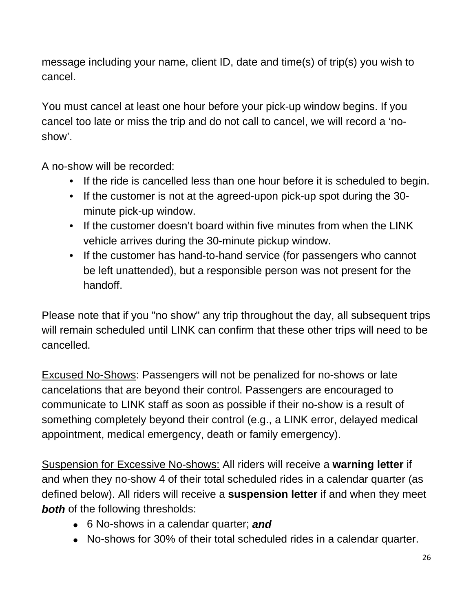message including your name, client ID, date and time(s) of trip(s) you wish to cancel.

You must cancel at least one hour before your pick-up window begins. If you cancel too late or miss the trip and do not call to cancel, we will record a 'noshow'.

A no-show will be recorded:

- If the ride is cancelled less than one hour before it is scheduled to begin.
- If the customer is not at the agreed-upon pick-up spot during the 30 minute pick-up window.
- If the customer doesn't board within five minutes from when the LINK vehicle arrives during the 30-minute pickup window.
- If the customer has hand-to-hand service (for passengers who cannot be left unattended), but a responsible person was not present for the handoff.

Please note that if you "no show" any trip throughout the day, all subsequent trips will remain scheduled until LINK can confirm that these other trips will need to be cancelled.

Excused No-Shows: Passengers will not be penalized for no-shows or late cancelations that are beyond their control. Passengers are encouraged to communicate to LINK staff as soon as possible if their no-show is a result of something completely beyond their control (e.g., a LINK error, delayed medical appointment, medical emergency, death or family emergency).

Suspension for Excessive No-shows: All riders will receive a **warning letter** if and when they no-show 4 of their total scheduled rides in a calendar quarter (as defined below). All riders will receive a **suspension letter** if and when they meet **both** of the following thresholds:

- 6 No-shows in a calendar quarter; *and*
- No-shows for 30% of their total scheduled rides in a calendar quarter.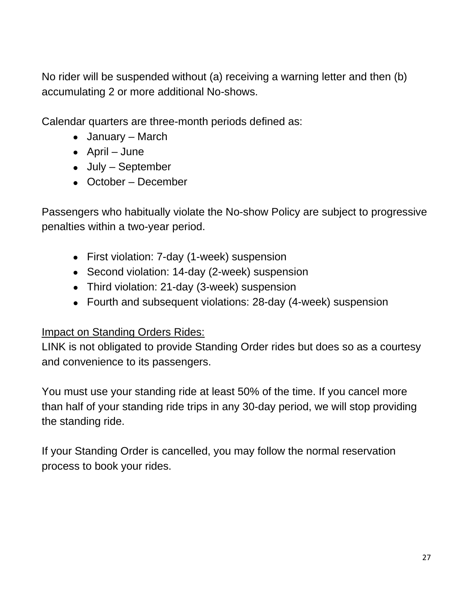No rider will be suspended without (a) receiving a warning letter and then (b) accumulating 2 or more additional No-shows.

Calendar quarters are three-month periods defined as:

- January March
- April June
- July September
- October December

Passengers who habitually violate the No-show Policy are subject to progressive penalties within a two-year period.

- First violation: 7-day (1-week) suspension
- Second violation: 14-day (2-week) suspension
- Third violation: 21-day (3-week) suspension
- Fourth and subsequent violations: 28-day (4-week) suspension

#### Impact on Standing Orders Rides:

LINK is not obligated to provide Standing Order rides but does so as a courtesy and convenience to its passengers.

You must use your standing ride at least 50% of the time. If you cancel more than half of your standing ride trips in any 30-day period, we will stop providing the standing ride.

If your Standing Order is cancelled, you may follow the normal reservation process to book your rides.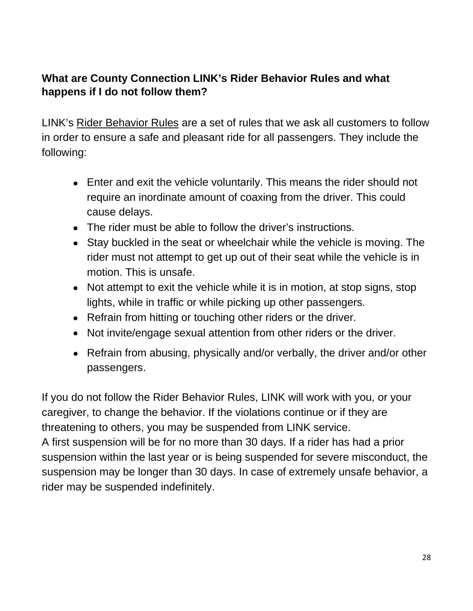### <span id="page-27-0"></span>**What are County Connection LINK's Rider Behavior Rules and what happens if I do not follow them?**

LINK's Rider Behavior Rules are a set of rules that we ask all customers to follow in order to ensure a safe and pleasant ride for all passengers. They include the following:

- Enter and exit the vehicle voluntarily. This means the rider should not require an inordinate amount of coaxing from the driver. This could cause delays.
- The rider must be able to follow the driver's instructions.
- Stay buckled in the seat or wheelchair while the vehicle is moving. The rider must not attempt to get up out of their seat while the vehicle is in motion. This is unsafe.
- Not attempt to exit the vehicle while it is in motion, at stop signs, stop lights, while in traffic or while picking up other passengers.
- Refrain from hitting or touching other riders or the driver.
- Not invite/engage sexual attention from other riders or the driver.
- Refrain from abusing, physically and/or verbally, the driver and/or other passengers.

If you do not follow the Rider Behavior Rules, LINK will work with you, or your caregiver, to change the behavior. If the violations continue or if they are threatening to others, you may be suspended from LINK service. A first suspension will be for no more than 30 days. If a rider has had a prior

suspension within the last year or is being suspended for severe misconduct, the suspension may be longer than 30 days. In case of extremely unsafe behavior, a rider may be suspended indefinitely.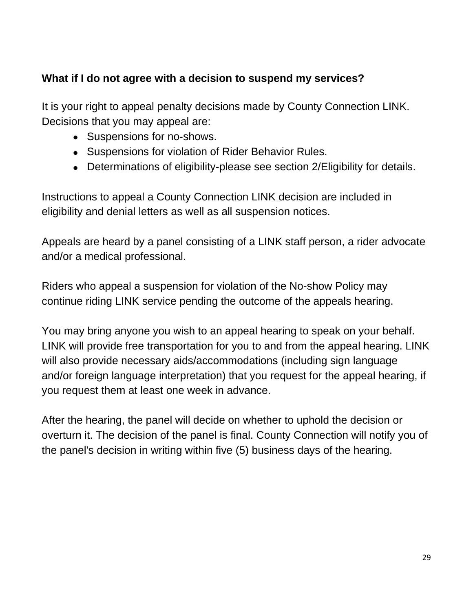## <span id="page-28-0"></span>**What if I do not agree with a decision to suspend my services?**

It is your right to appeal penalty decisions made by County Connection LINK. Decisions that you may appeal are:

- Suspensions for no-shows.
- Suspensions for violation of Rider Behavior Rules.
- Determinations of eligibility-please see section 2/Eligibility for details.

Instructions to appeal a County Connection LINK decision are included in eligibility and denial letters as well as all suspension notices.

Appeals are heard by a panel consisting of a LINK staff person, a rider advocate and/or a medical professional.

Riders who appeal a suspension for violation of the No-show Policy may continue riding LINK service pending the outcome of the appeals hearing.

You may bring anyone you wish to an appeal hearing to speak on your behalf. LINK will provide free transportation for you to and from the appeal hearing. LINK will also provide necessary aids/accommodations (including sign language and/or foreign language interpretation) that you request for the appeal hearing, if you request them at least one week in advance.

After the hearing, the panel will decide on whether to uphold the decision or overturn it. The decision of the panel is final. County Connection will notify you of the panel's decision in writing within five (5) business days of the hearing.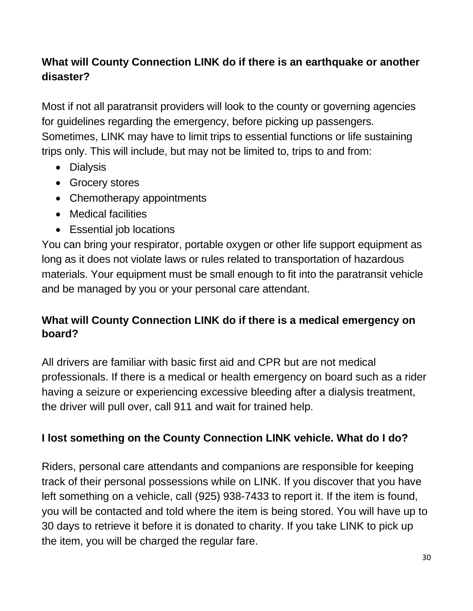# **What will County Connection LINK do if there is an earthquake or another disaster?**

Most if not all paratransit providers will look to the county or governing agencies for guidelines regarding the emergency, before picking up passengers. Sometimes, LINK may have to limit trips to essential functions or life sustaining trips only. This will include, but may not be limited to, trips to and from:

- Dialysis
- Grocery stores
- Chemotherapy appointments
- Medical facilities
- Essential job locations

You can bring your respirator, portable oxygen or other life support equipment as long as it does not violate laws or rules related to transportation of hazardous materials. Your equipment must be small enough to fit into the paratransit vehicle and be managed by you or your personal care attendant.

## <span id="page-29-0"></span>**What will County Connection LINK do if there is a medical emergency on board?**

All drivers are familiar with basic first aid and CPR but are not medical professionals. If there is a medical or health emergency on board such as a rider having a seizure or experiencing excessive bleeding after a dialysis treatment, the driver will pull over, call 911 and wait for trained help.

# <span id="page-29-1"></span>**I lost something on the County Connection LINK vehicle. What do I do?**

Riders, personal care attendants and companions are responsible for keeping track of their personal possessions while on LINK. If you discover that you have left something on a vehicle, call (925) 938-7433 to report it. If the item is found, you will be contacted and told where the item is being stored. You will have up to 30 days to retrieve it before it is donated to charity. If you take LINK to pick up the item, you will be charged the regular fare.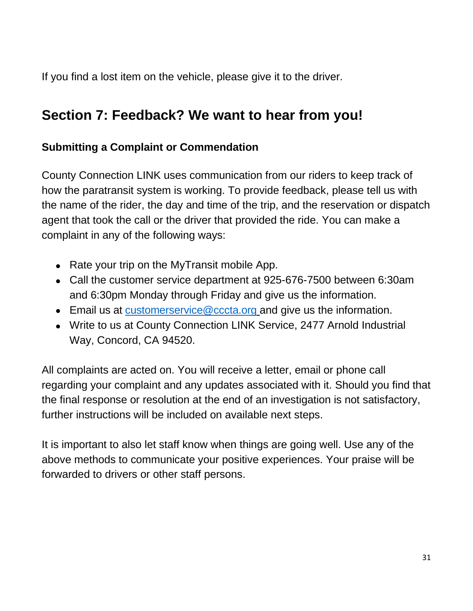If you find a lost item on the vehicle, please give it to the driver.

# <span id="page-30-0"></span>**Section 7: Feedback? We want to hear from you!**

## <span id="page-30-1"></span>**Submitting a Complaint or Commendation**

County Connection LINK uses communication from our riders to keep track of how the paratransit system is working. To provide feedback, please tell us with the name of the rider, the day and time of the trip, and the reservation or dispatch agent that took the call or the driver that provided the ride. You can make a complaint in any of the following ways:

- Rate your trip on the MyTransit mobile App.
- Call the customer service department at 925-676-7500 between 6:30am and 6:30pm Monday through Friday and give us the information.
- Email us at [customerservice@cccta.org](mailto:customerservice@cccta.org) and give us the information.
- Write to us at County Connection LINK Service, 2477 Arnold Industrial Way, Concord, CA 94520.

All complaints are acted on. You will receive a letter, email or phone call regarding your complaint and any updates associated with it. Should you find that the final response or resolution at the end of an investigation is not satisfactory, further instructions will be included on available next steps.

It is important to also let staff know when things are going well. Use any of the above methods to communicate your positive experiences. Your praise will be forwarded to drivers or other staff persons.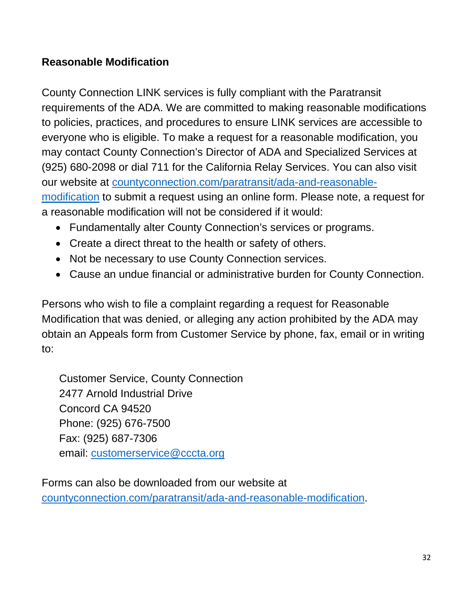### <span id="page-31-0"></span>**Reasonable Modification**

County Connection LINK services is fully compliant with the Paratransit requirements of the ADA. We are committed to making reasonable modifications to policies, practices, and procedures to ensure LINK services are accessible to everyone who is eligible. To make a request for a reasonable modification, you may contact County Connection's Director of ADA and Specialized Services at (925) 680-2098 or dial 711 for the California Relay Services. You can also visit our website at countyconnection.com/paratransit/ada-and-reasonablemodification to submit a request using an online form. Please note, a request for a reasonable modification will not be considered if it would:

- Fundamentally alter County Connection's services or programs.
- Create a direct threat to the health or safety of others.
- Not be necessary to use County Connection services.
- Cause an undue financial or administrative burden for County Connection.

Persons who wish to file a complaint regarding a request for Reasonable Modification that was denied, or alleging any action prohibited by the ADA may obtain an Appeals form from Customer Service by phone, fax, email or in writing to:

Customer Service, County Connection 2477 Arnold Industrial Drive Concord CA 94520 Phone: (925) 676-7500 Fax: (925) 687-7306 email: customerservice@cccta.org

Forms can also be downloaded from our website at countyconnection.com/paratransit/ada-and-reasonable-modification.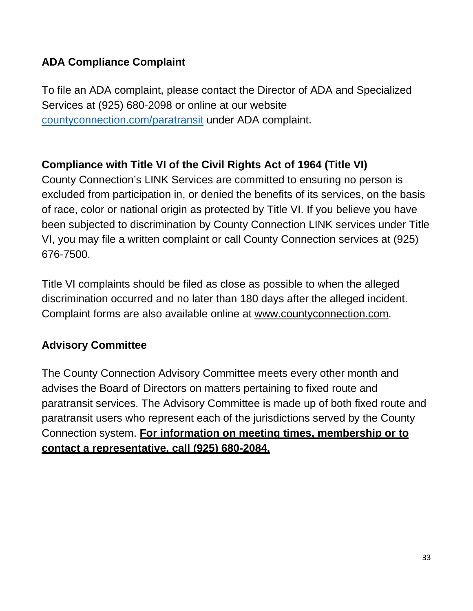## <span id="page-32-0"></span>**ADA Compliance Complaint**

To file an ADA complaint, please contact the Director of ADA and Specialized Services at (925) 680-2098 or online at our website countyconnection.com/paratransit under ADA complaint.

# **Compliance with Title VI of the Civil Rights Act of 1964 (Title VI)**

County Connection's LINK Services are committed to ensuring no person is excluded from participation in, or denied the benefits of its services, on the basis of race, color or national origin as protected by Title VI. If you believe you have been subjected to discrimination by County Connection LINK services under Title VI, you may file a written complaint or call County Connection services at (925) 676-7500.

Title VI complaints should be filed as close as possible to when the alleged discrimination occurred and no later than 180 days after the alleged incident. Complaint forms are also available online at www.countyconnection.com.

## <span id="page-32-1"></span>**Advisory Committee**

The County Connection Advisory Committee meets every other month and advises the Board of Directors on matters pertaining to fixed route and paratransit services. The Advisory Committee is made up of both fixed route and paratransit users who represent each of the jurisdictions served by the County Connection system. **For information on meeting times, membership or to contact a representative, call (925) 680-2084.**